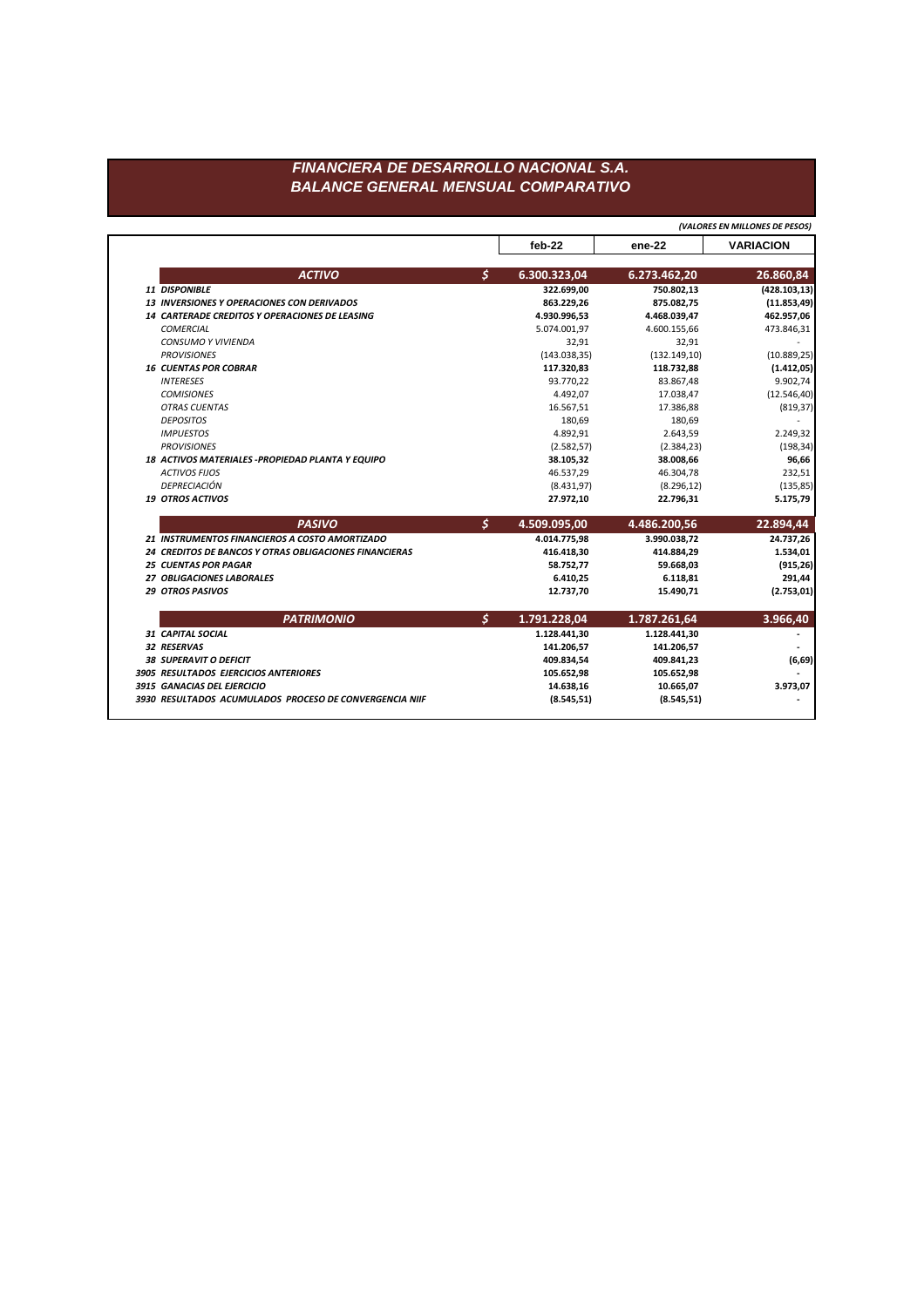## FINANCIERA DE DESARROLLO NACIONAL S.A. **BALANCE GENERAL MENSUAL COMPARATIVO**

feb-22 ene-22 **VARIACION**  $\boldsymbol{\zeta}$ **ACTIVO** 6.300.323,04 6.273.462,20 26.860,84 750.802,13  $(428.103, 13)$ 11 DISPONIBLE 322.699,00 13 INVERSIONES Y OPERACIONES CON DERIVADOS 863.229,26 875.082,75  $(11.853, 49)$ 14 CARTERADE CREDITOS Y OPERACIONES DE LEASING 4.930.996,53 4.468.039,47 462.957,06 473.846,31 COMERCIAL 5.074.001,97 4.600.155,66 CONSUMO Y VIVIENDA 32,91 32,91 **PROVISIONES**  $(143.038, 35)$  $(132.149, 10)$  $(10.889, 25)$ **16 CUENTAS POR COBRAR** 117.320,83 118.732,88  $(1.412, 05)$ **INTERESES** 93.770,22 83.867,48 9.902,74 **COMISIONES** 4.492,07 17.038,47  $(12.546, 40)$ **OTRAS CUENTAS** 16.567,51 17.386,88  $(819, 37)$ **DEPOSITOS** 180,69 180,69 2.249,32 **IMPUESTOS** 4.892,91 2.643,59 **PROVISIONES**  $(2.582, 57)$  $(2.384, 23)$  $(198, 34)$ 18 ACTIVOS MATERIALES - PROPIEDAD PLANTA Y EQUIPO 38.105,32 38.008,66 96,66 232,51 **ACTIVOS FIJOS** 46.537,29 46.304,78 DEPRECIACIÓN  $(8.431, 97)$  $(8.296, 12)$  $(135, 85)$ 19 OTROS ACTIVOS 27.972,10 22.796,31 5.175,79  $\mathsf{S}$ 4.486.200,56 **PASIVO** 4.509.095,00 22.894,44 24.737,26 21 INSTRUMENTOS FINANCIEROS A COSTO AMORTIZADO 4.014.775,98 3.990.038,72 24 CREDITOS DE BANCOS Y OTRAS OBLIGACIONES FINANCIERAS 414.884,29 1.534,01 416.418,30 **25 CUENTAS POR PAGAR**  $(915, 26)$ 58.752,77 59.668,03 27 OBLIGACIONES LABORALES 6.410,25 291,44 6.118,81 **29 OTROS PASIVOS** 12.737,70 15.490,71  $(2.753, 01)$ 

| <b>PATRIMONIO</b>                                       | 1.791.228,04 | 1.787.261,64 | 3.966,40 |
|---------------------------------------------------------|--------------|--------------|----------|
| 31 CAPITAL SOCIAL                                       | 1.128.441,30 | 1.128.441,30 |          |
| <b>32 RESERVAS</b>                                      | 141.206,57   | 141.206,57   |          |
| <b>38 SUPERAVIT O DEFICIT</b>                           | 409.834.54   | 409.841,23   | (6, 69)  |
| 3905 RESULTADOS EJERCICIOS ANTERIORES                   | 105.652,98   | 105.652,98   |          |
| 3915 GANACIAS DEL EJERCICIO                             | 14.638,16    | 10.665,07    | 3.973,07 |
| 3930 RESULTADOS ACUMULADOS PROCESO DE CONVERGENCIA NIIF | (8.545, 51)  | (8.545, 51)  |          |
|                                                         |              |              |          |

(VALORES EN MILLONES DE PESOS)